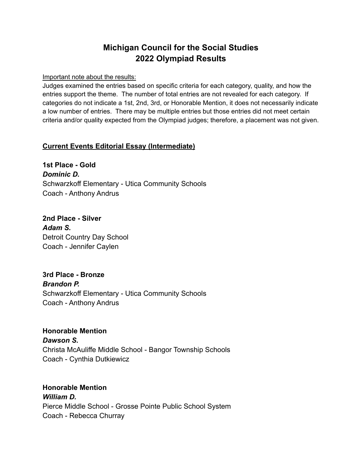# **Michigan Council for the Social Studies 2022 Olympiad Results**

Important note about the results:

Judges examined the entries based on specific criteria for each category, quality, and how the entries support the theme. The number of total entries are not revealed for each category. If categories do not indicate a 1st, 2nd, 3rd, or Honorable Mention, it does not necessarily indicate a low number of entries. There may be multiple entries but those entries did not meet certain criteria and/or quality expected from the Olympiad judges; therefore, a placement was not given.

## **Current Events Editorial Essay (Intermediate)**

**1st Place - Gold** *Dominic D.* Schwarzkoff Elementary - Utica Community Schools Coach - Anthony Andrus

**2nd Place - Silver** *Adam S.* Detroit Country Day School Coach - Jennifer Caylen

**3rd Place - Bronze** *Brandon P.* Schwarzkoff Elementary - Utica Community Schools Coach - Anthony Andrus

**Honorable Mention**

*Dawson S.* Christa McAuliffe Middle School - Bangor Township Schools Coach - Cynthia Dutkiewicz

**Honorable Mention** *William D.* Pierce Middle School - Grosse Pointe Public School System Coach - Rebecca Churray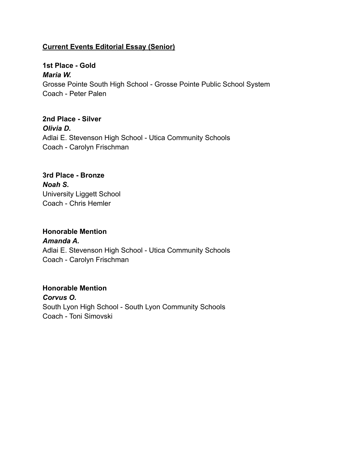## **Current Events Editorial Essay (Senior)**

**1st Place - Gold** *Maria W.* Grosse Pointe South High School - Grosse Pointe Public School System Coach - Peter Palen

**2nd Place - Silver** *Olivia D.* Adlai E. Stevenson High School - Utica Community Schools Coach - Carolyn Frischman

## **3rd Place - Bronze** *Noah S.* University Liggett School Coach - Chris Hemler

**Honorable Mention** *Amanda A.* Adlai E. Stevenson High School - Utica Community Schools Coach - Carolyn Frischman

## **Honorable Mention** *Corvus O.* South Lyon High School - South Lyon Community Schools Coach - Toni Simovski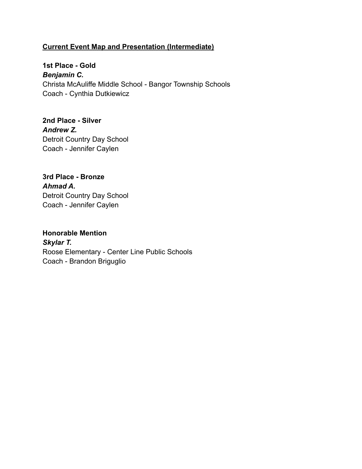## **Current Event Map and Presentation (Intermediate)**

**1st Place - Gold** *Benjamin C.* Christa McAuliffe Middle School - Bangor Township Schools Coach - Cynthia Dutkiewicz

**2nd Place - Silver** *Andrew Z.* Detroit Country Day School Coach - Jennifer Caylen

**3rd Place - Bronze** *Ahmad A.* Detroit Country Day School Coach - Jennifer Caylen

**Honorable Mention** *Skylar T.* Roose Elementary - Center Line Public Schools Coach - Brandon Briguglio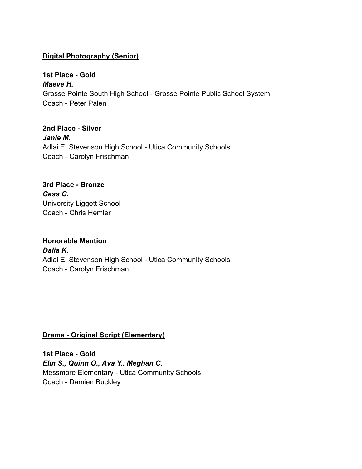## **Digital Photography (Senior)**

**1st Place - Gold** *Maeve H.* Grosse Pointe South High School - Grosse Pointe Public School System Coach - Peter Palen

**2nd Place - Silver** *Janie M.* Adlai E. Stevenson High School - Utica Community Schools Coach - Carolyn Frischman

## **3rd Place - Bronze** *Cass C.* University Liggett School Coach - Chris Hemler

**Honorable Mention** *Dalia K.* Adlai E. Stevenson High School - Utica Community Schools Coach - Carolyn Frischman

## **Drama - Original Script (Elementary)**

**1st Place - Gold** *Elin S., Quinn O., Ava Y., Meghan C.* Messmore Elementary - Utica Community Schools Coach - Damien Buckley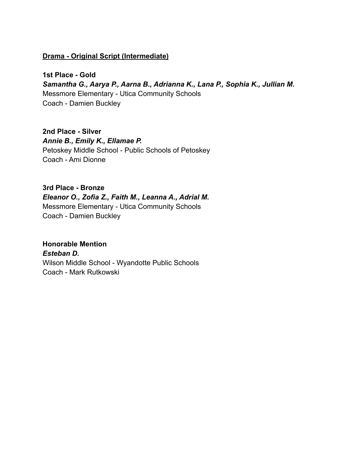## **Drama - Original Script (Intermediate)**

**1st Place - Gold** *Samantha G., Aarya P., Aarna B., Adrianna K., Lana P., Sophia K., Jullian M.* Messmore Elementary - Utica Community Schools Coach - Damien Buckley

## **2nd Place - Silver** *Annie B., Emily K., Ellamae P.*

Petoskey Middle School - Public Schools of Petoskey Coach - Ami Dionne

#### **3rd Place - Bronze**

*Eleanor O., Zofia Z., Faith M., Leanna A., Adrial M.*

Messmore Elementary - Utica Community Schools Coach - Damien Buckley

## **Honorable Mention**

*Esteban D.* Wilson Middle School - Wyandotte Public Schools Coach - Mark Rutkowski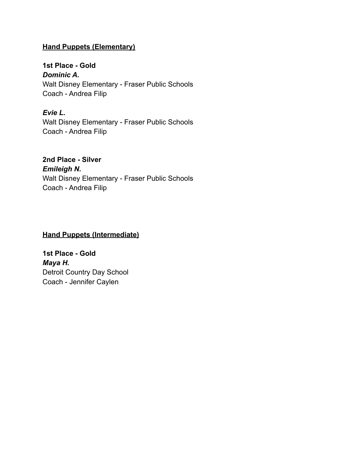## **Hand Puppets (Elementary)**

**1st Place - Gold** *Dominic A.* Walt Disney Elementary - Fraser Public Schools Coach - Andrea Filip

*Evie L.* Walt Disney Elementary - Fraser Public Schools Coach - Andrea Filip

**2nd Place - Silver** *Emileigh N.* Walt Disney Elementary - Fraser Public Schools Coach - Andrea Filip

## **Hand Puppets (Intermediate)**

**1st Place - Gold** *Maya H.* Detroit Country Day School Coach - Jennifer Caylen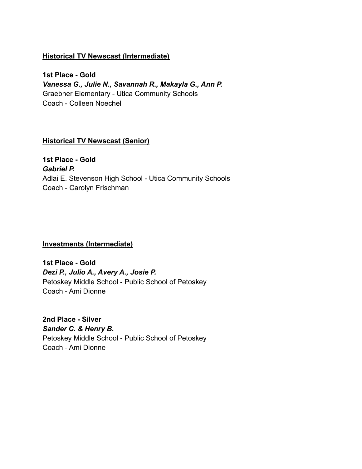## **Historical TV Newscast (Intermediate)**

**1st Place - Gold** *Vanessa G., Julie N., Savannah R., Makayla G., Ann P.* Graebner Elementary - Utica Community Schools Coach - Colleen Noechel

## **Historical TV Newscast (Senior)**

**1st Place - Gold** *Gabriel P.* Adlai E. Stevenson High School - Utica Community Schools Coach - Carolyn Frischman

## **Investments (Intermediate)**

**1st Place - Gold** *Dezi P., Julio A., Avery A., Josie P.* Petoskey Middle School - Public School of Petoskey Coach - Ami Dionne

**2nd Place - Silver** *Sander C. & Henry B.* Petoskey Middle School - Public School of Petoskey Coach - Ami Dionne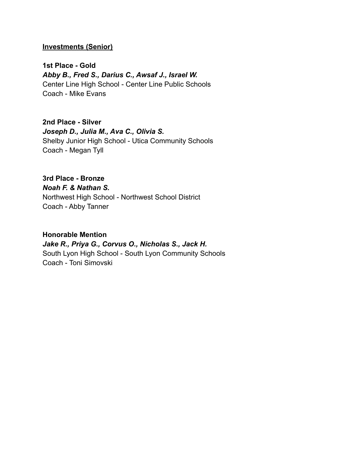#### **Investments (Senior)**

**1st Place - Gold** *Abby B., Fred S., Darius C., Awsaf J., Israel W.* Center Line High School - Center Line Public Schools Coach - Mike Evans

**2nd Place - Silver** *Joseph D., Julia M., Ava C., Olivia S.* Shelby Junior High School - Utica Community Schools Coach - Megan Tyll

# **3rd Place - Bronze**

*Noah F. & Nathan S.*

Northwest High School - Northwest School District Coach - Abby Tanner

#### **Honorable Mention**

*Jake R., Priya G., Corvus O., Nicholas S., Jack H.* South Lyon High School - South Lyon Community Schools Coach - Toni Simovski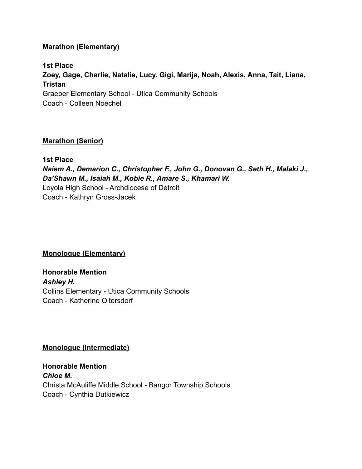## **Marathon (Elementary)**

**1st Place Zoey, Gage, Charlie, Natalie, Lucy. Gigi, Marija, Noah, Alexis, Anna, Tait, Liana, Tristan** Graeber Elementary School - Utica Community Schools Coach - Colleen Noechel

#### **Marathon (Senior)**

**1st Place** *Naiem A., Demarion C., Christopher F., John G., Donovan G., Seth H., Malaki J., Da'Shawn M., Isaiah M., Kobie R., Amare S., Khamari W.* Loyola High School - Archdiocese of Detroit Coach - Kathryn Gross-Jacek

## **Monologue (Elementary)**

**Honorable Mention** *Ashley H.* Collins Elementary - Utica Community Schools Coach - Katherine Oltersdorf

#### **Monologue (Intermediate)**

**Honorable Mention** *Chloe M.* Christa McAuliffe Middle School - Bangor Township Schools Coach - Cynthia Dutkiewicz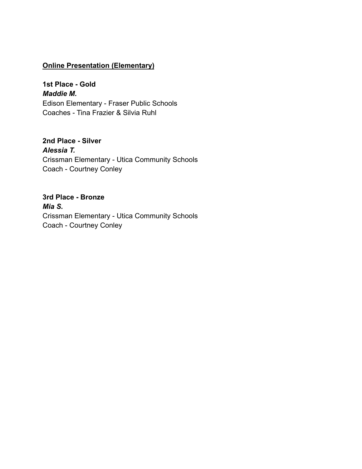#### **Online Presentation (Elementary)**

**1st Place - Gold** *Maddie M.* Edison Elementary - Fraser Public Schools Coaches - Tina Frazier & Silvia Ruhl

**2nd Place - Silver** *Alessia T.* Crissman Elementary - Utica Community Schools Coach - Courtney Conley

**3rd Place - Bronze** *Mia S.* Crissman Elementary - Utica Community Schools Coach - Courtney Conley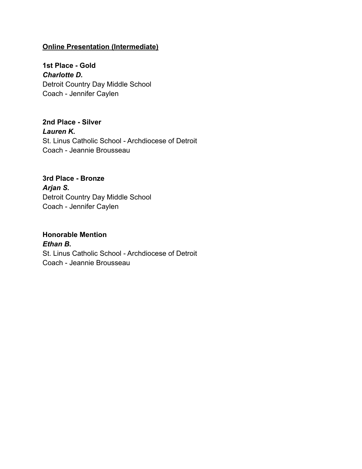## **Online Presentation (Intermediate)**

**1st Place - Gold** *Charlotte D.* Detroit Country Day Middle School Coach - Jennifer Caylen

**2nd Place - Silver** *Lauren K.* St. Linus Catholic School - Archdiocese of Detroit Coach - Jeannie Brousseau

**3rd Place - Bronze** *Arjan S.* Detroit Country Day Middle School Coach - Jennifer Caylen

# **Honorable Mention**

*Ethan B.* St. Linus Catholic School - Archdiocese of Detroit Coach - Jeannie Brousseau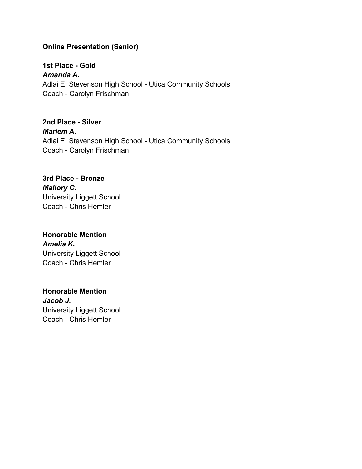## **Online Presentation (Senior)**

**1st Place - Gold** *Amanda A.* Adlai E. Stevenson High School - Utica Community Schools Coach - Carolyn Frischman

**2nd Place - Silver** *Mariem A.* Adlai E. Stevenson High School - Utica Community Schools Coach - Carolyn Frischman

**3rd Place - Bronze** *Mallory C.* University Liggett School Coach - Chris Hemler

**Honorable Mention** *Amelia K.* University Liggett School Coach - Chris Hemler

**Honorable Mention** *Jacob J.* University Liggett School Coach - Chris Hemler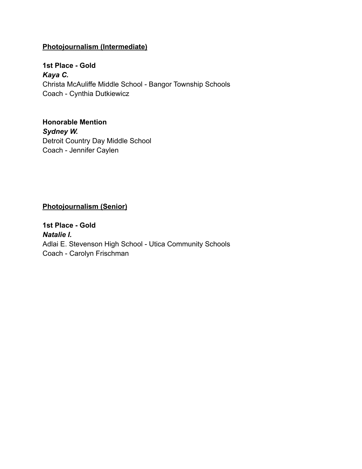## **Photojournalism (Intermediate)**

**1st Place - Gold** *Kaya C.* Christa McAuliffe Middle School - Bangor Township Schools Coach - Cynthia Dutkiewicz

**Honorable Mention** *Sydney W.* Detroit Country Day Middle School Coach - Jennifer Caylen

## **Photojournalism (Senior)**

**1st Place - Gold** *Natalie I.* Adlai E. Stevenson High School - Utica Community Schools Coach - Carolyn Frischman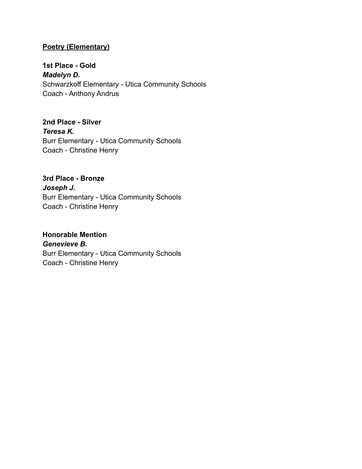## **Poetry (Elementary)**

**1st Place - Gold** *Madelyn D.* Schwarzkoff Elementary - Utica Community Schools Coach - Anthony Andrus

**2nd Place - Silver** *Teresa K.* Burr Elementary - Utica Community Schools Coach - Christine Henry

**3rd Place - Bronze** *Joseph J.* Burr Elementary - Utica Community Schools Coach - Christine Henry

### **Honorable Mention** *Genevieve B.*

Burr Elementary - Utica Community Schools Coach - Christine Henry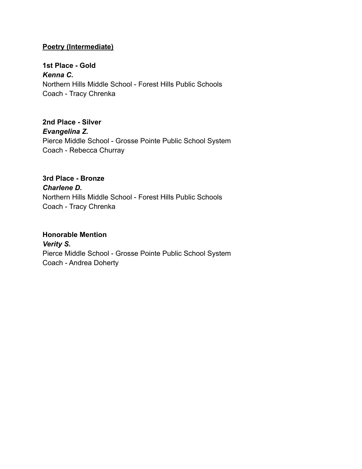## **Poetry (Intermediate)**

**1st Place - Gold** *Kenna C.* Northern Hills Middle School - Forest Hills Public Schools Coach - Tracy Chrenka

**2nd Place - Silver** *Evangelina Z.* Pierce Middle School - Grosse Pointe Public School System Coach - Rebecca Churray

# **3rd Place - Bronze** *Charlene D.* Northern Hills Middle School - Forest Hills Public Schools

Coach - Tracy Chrenka

#### **Honorable Mention**

*Verity S.* Pierce Middle School - Grosse Pointe Public School System Coach - Andrea Doherty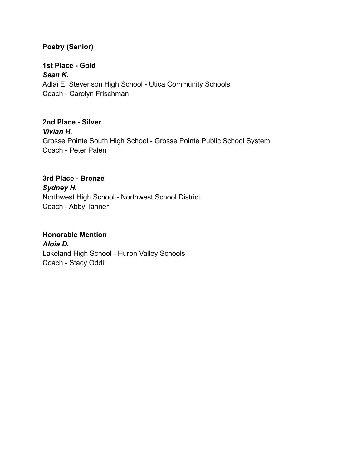## **Poetry (Senior)**

**1st Place - Gold** *Sean K.* Adlai E. Stevenson High School - Utica Community Schools Coach - Carolyn Frischman

**2nd Place - Silver** *Vivian H.* Grosse Pointe South High School - Grosse Pointe Public School System Coach - Peter Palen

## **3rd Place - Bronze** *Sydney H.*

Northwest High School - Northwest School District Coach - Abby Tanner

# **Honorable Mention**

*Aloia D.* Lakeland High School - Huron Valley Schools Coach - Stacy Oddi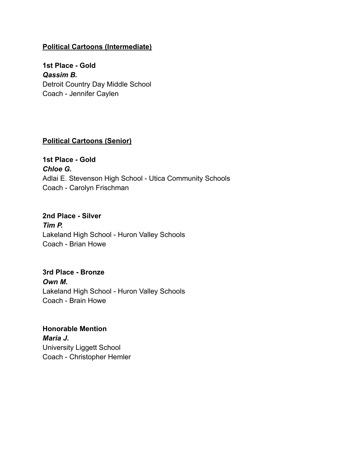## **Political Cartoons (Intermediate)**

**1st Place - Gold** *Qassim B.* Detroit Country Day Middle School Coach - Jennifer Caylen

### **Political Cartoons (Senior)**

**1st Place - Gold** *Chloe G.* Adlai E. Stevenson High School - Utica Community Schools Coach - Carolyn Frischman

## **2nd Place - Silver** *Tim P.* Lakeland High School - Huron Valley Schools Coach - Brian Howe

# **3rd Place - Bronze** *Own M.* Lakeland High School - Huron Valley Schools Coach - Brain Howe

**Honorable Mention** *Maria J.* University Liggett School Coach - Christopher Hemler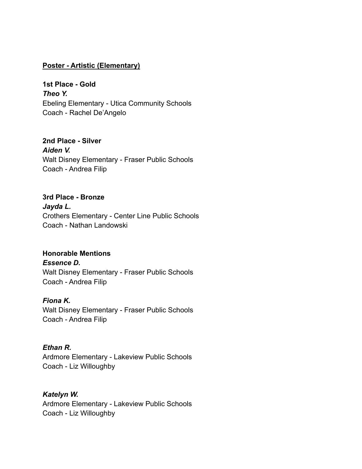#### **Poster - Artistic (Elementary)**

**1st Place - Gold** *Theo Y.* Ebeling Elementary - Utica Community Schools Coach - Rachel De'Angelo

**2nd Place - Silver** *Aiden V.* Walt Disney Elementary - Fraser Public Schools Coach - Andrea Filip

**3rd Place - Bronze** *Jayda L.* Crothers Elementary - Center Line Public Schools Coach - Nathan Landowski

# **Honorable Mentions**

*Essence D.* Walt Disney Elementary - Fraser Public Schools Coach - Andrea Filip

#### *Fiona K.*

Walt Disney Elementary - Fraser Public Schools Coach - Andrea Filip

#### *Ethan R.*

Ardmore Elementary - Lakeview Public Schools Coach - Liz Willoughby

#### *Katelyn W.*

Ardmore Elementary - Lakeview Public Schools Coach - Liz Willoughby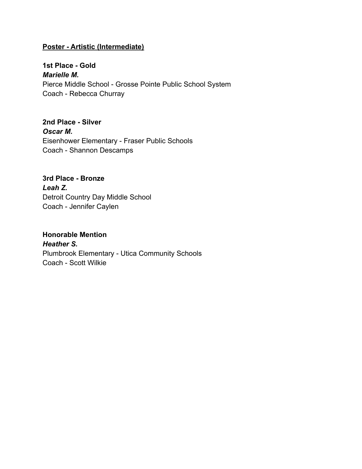## **Poster - Artistic (Intermediate)**

**1st Place - Gold** *Marielle M.* Pierce Middle School - Grosse Pointe Public School System Coach - Rebecca Churray

**2nd Place - Silver** *Oscar M.* Eisenhower Elementary - Fraser Public Schools Coach - Shannon Descamps

**3rd Place - Bronze** *Leah Z.* Detroit Country Day Middle School Coach - Jennifer Caylen

**Honorable Mention** *Heather S.* Plumbrook Elementary - Utica Community Schools Coach - Scott Wilkie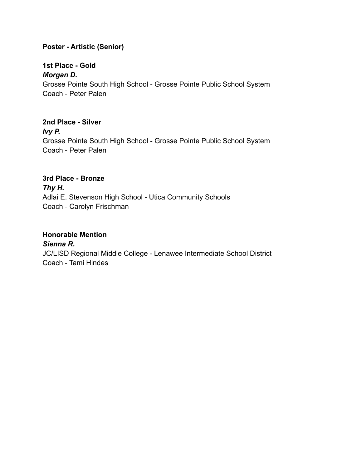## **Poster - Artistic (Senior)**

# **1st Place - Gold** *Morgan D.* Grosse Pointe South High School - Grosse Pointe Public School System Coach - Peter Palen

**2nd Place - Silver** *Ivy P.* Grosse Pointe South High School - Grosse Pointe Public School System Coach - Peter Palen

# **3rd Place - Bronze**

*Thy H.* Adlai E. Stevenson High School - Utica Community Schools Coach - Carolyn Frischman

## **Honorable Mention**

*Sienna R.* JC/LISD Regional Middle College - Lenawee Intermediate School District Coach - Tami Hindes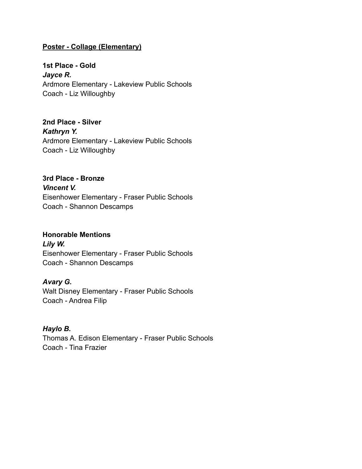## **Poster - Collage (Elementary)**

**1st Place - Gold** *Jayce R.* Ardmore Elementary - Lakeview Public Schools Coach - Liz Willoughby

**2nd Place - Silver** *Kathryn Y.* Ardmore Elementary - Lakeview Public Schools Coach - Liz Willoughby

**3rd Place - Bronze** *Vincent V.* Eisenhower Elementary - Fraser Public Schools Coach - Shannon Descamps

#### **Honorable Mentions**

*Lily W.* Eisenhower Elementary - Fraser Public Schools Coach - Shannon Descamps

#### *Avary G.*

Walt Disney Elementary - Fraser Public Schools Coach - Andrea Filip

## *Haylo B.*

Thomas A. Edison Elementary - Fraser Public Schools Coach - Tina Frazier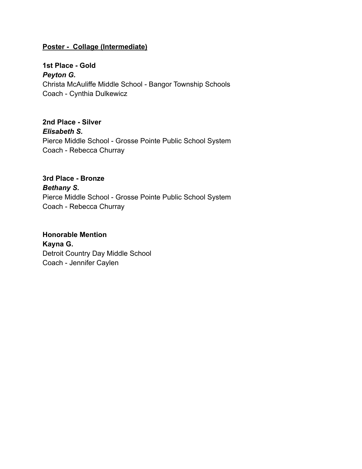### **Poster - Collage (Intermediate)**

**1st Place - Gold** *Peyton G.* Christa McAuliffe Middle School - Bangor Township Schools Coach - Cynthia Dulkewicz

**2nd Place - Silver** *Elisabeth S.* Pierce Middle School - Grosse Pointe Public School System Coach - Rebecca Churray

**3rd Place - Bronze** *Bethany S.* Pierce Middle School - Grosse Pointe Public School System Coach - Rebecca Churray

**Honorable Mention Kayna G.** Detroit Country Day Middle School Coach - Jennifer Caylen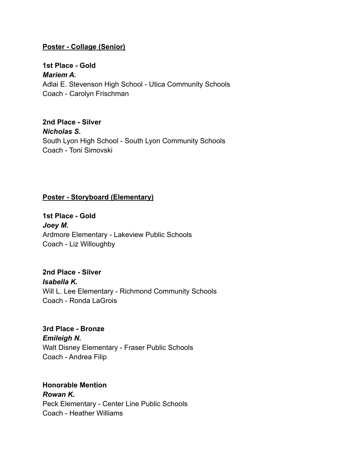#### **Poster - Collage (Senior)**

**1st Place - Gold** *Mariem A.* Adlai E. Stevenson High School - Utica Community Schools Coach - Carolyn Frischman

**2nd Place - Silver** *Nicholas S.* South Lyon High School - South Lyon Community Schools Coach - Toni Simovski

#### **Poster - Storyboard (Elementary)**

**1st Place - Gold** *Joey M.* Ardmore Elementary - Lakeview Public Schools Coach - Liz Willoughby

**2nd Place - Silver** *Isabella K.* Will L. Lee Elementary - Richmond Community Schools Coach - Ronda LaGrois

**3rd Place - Bronze** *Emileigh N.* Walt Disney Elementary - Fraser Public Schools Coach - Andrea Filip

**Honorable Mention** *Rowan K.* Peck Elementary - Center Line Public Schools Coach - Heather Williams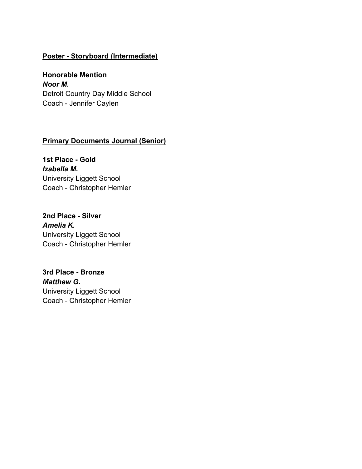## **Poster - Storyboard (Intermediate)**

**Honorable Mention** *Noor M.* Detroit Country Day Middle School Coach - Jennifer Caylen

## **Primary Documents Journal (Senior)**

**1st Place - Gold** *Izabella M.* University Liggett School Coach - Christopher Hemler

**2nd Place - Silver** *Amelia K.* University Liggett School Coach - Christopher Hemler

**3rd Place - Bronze** *Matthew G.* University Liggett School Coach - Christopher Hemler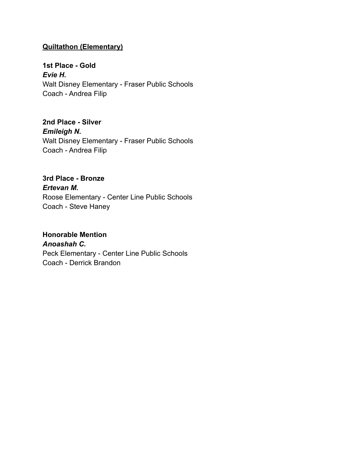## **Quiltathon (Elementary)**

**1st Place - Gold** *Evie H.* Walt Disney Elementary - Fraser Public Schools Coach - Andrea Filip

**2nd Place - Silver** *Emileigh N.* Walt Disney Elementary - Fraser Public Schools Coach - Andrea Filip

**3rd Place - Bronze** *Ertevan M.* Roose Elementary - Center Line Public Schools Coach - Steve Haney

# **Honorable Mention** *Anoashah C.* Peck Elementary - Center Line Public Schools

Coach - Derrick Brandon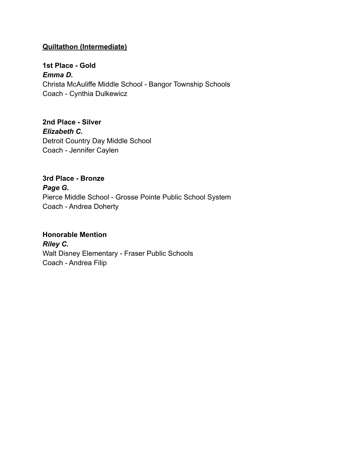## **Quiltathon (Intermediate)**

**1st Place - Gold** *Emma D.* Christa McAuliffe Middle School - Bangor Township Schools Coach - Cynthia Dulkewicz

**2nd Place - Silver** *Elizabeth C.* Detroit Country Day Middle School Coach - Jennifer Caylen

**3rd Place - Bronze** *Page G.* Pierce Middle School - Grosse Pointe Public School System Coach - Andrea Doherty

#### **Honorable Mention**

*Riley C.* Walt Disney Elementary - Fraser Public Schools Coach - Andrea Filip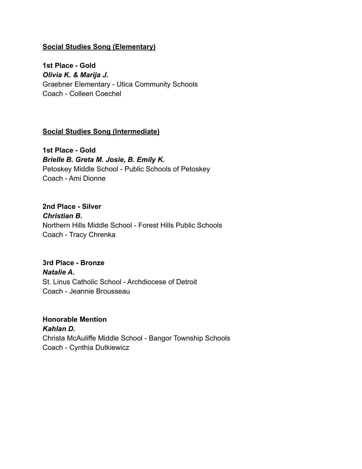### **Social Studies Song (Elementary)**

**1st Place - Gold** *Olivia K. & Marija J.* Graebner Elementary - Utica Community Schools Coach - Colleen Coechel

#### **Social Studies Song (Intermediate)**

**1st Place - Gold** *Brielle B. Greta M. Josie, B. Emily K.* Petoskey Middle School - Public Schools of Petoskey Coach - Ami Dionne

**2nd Place - Silver** *Christian B.* Northern Hills Middle School - Forest Hills Public Schools Coach - Tracy Chrenka

**3rd Place - Bronze** *Natalie A.* St. Linus Catholic School - Archdiocese of Detroit Coach - Jeannie Brousseau

**Honorable Mention** *Kahlan D.* Christa McAuliffe Middle School - Bangor Township Schools Coach - Cynthia Dutkiewicz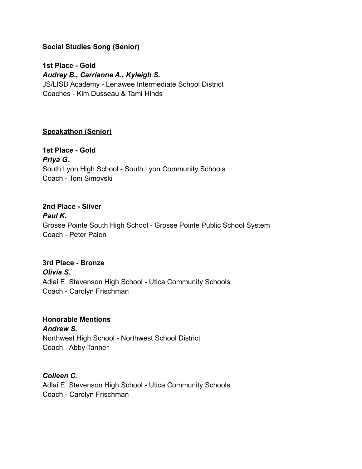## **Social Studies Song (Senior)**

**1st Place - Gold** *Audrey B., Carrianne A., Kyleigh S.* JS/LISD Academy - Lenawee Intermediate School District Coaches - Kim Dusseau & Tami Hinds

#### **Speakathon (Senior)**

**1st Place - Gold** *Priya G.* South Lyon High School - South Lyon Community Schools Coach - Toni Simovski

**2nd Place - Silver** *Paul K.* Grosse Pointe South High School - Grosse Pointe Public School System Coach - Peter Palen

**3rd Place - Bronze** *Olivia S.* Adlai E. Stevenson High School - Utica Community Schools Coach - Carolyn Frischman

# **Honorable Mentions**

*Andrew S.* Northwest High School - Northwest School District Coach - Abby Tanner

#### *Colleen C.*

Adlai E. Stevenson High School - Utica Community Schools Coach - Carolyn Frischman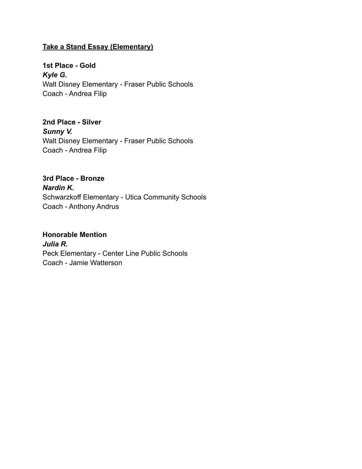## **Take a Stand Essay (Elementary)**

**1st Place - Gold** *Kyle G.* Walt Disney Elementary - Fraser Public Schools Coach - Andrea Filip

**2nd Place - Silver** *Sunny V.* Walt Disney Elementary - Fraser Public Schools Coach - Andrea Filip

**3rd Place - Bronze** *Nardin K.* Schwarzkoff Elementary - Utica Community Schools Coach - Anthony Andrus

## **Honorable Mention**

*Julia R.* Peck Elementary - Center Line Public Schools Coach - Jamie Watterson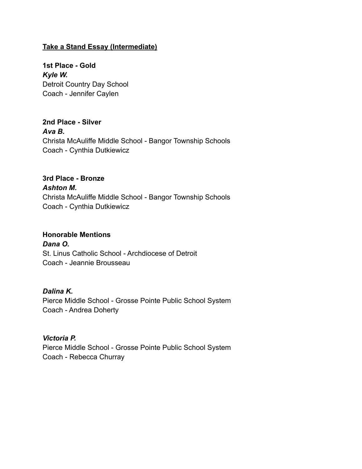## **Take a Stand Essay (Intermediate)**

**1st Place - Gold** *Kyle W.* Detroit Country Day School Coach - Jennifer Caylen

**2nd Place - Silver** *Ava B.* Christa McAuliffe Middle School - Bangor Township Schools Coach - Cynthia Dutkiewicz

# **3rd Place - Bronze** *Ashton M.* Christa McAuliffe Middle School - Bangor Township Schools Coach - Cynthia Dutkiewicz

#### **Honorable Mentions**

*Dana O.* St. Linus Catholic School - Archdiocese of Detroit Coach - Jeannie Brousseau

#### *Dalina K.*

Pierce Middle School - Grosse Pointe Public School System Coach - Andrea Doherty

#### *Victoria P.*

Pierce Middle School - Grosse Pointe Public School System Coach - Rebecca Churray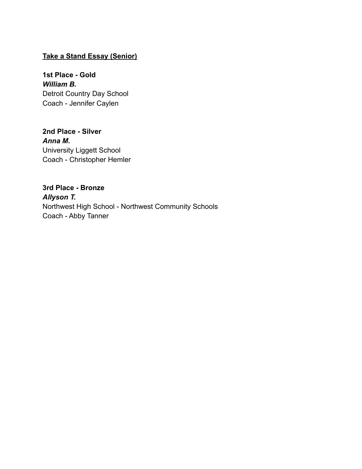## **Take a Stand Essay (Senior)**

**1st Place - Gold** *William B.* Detroit Country Day School Coach - Jennifer Caylen

**2nd Place - Silver** *Anna M.* University Liggett School Coach - Christopher Hemler

**3rd Place - Bronze** *Allyson T.* Northwest High School - Northwest Community Schools Coach - Abby Tanner